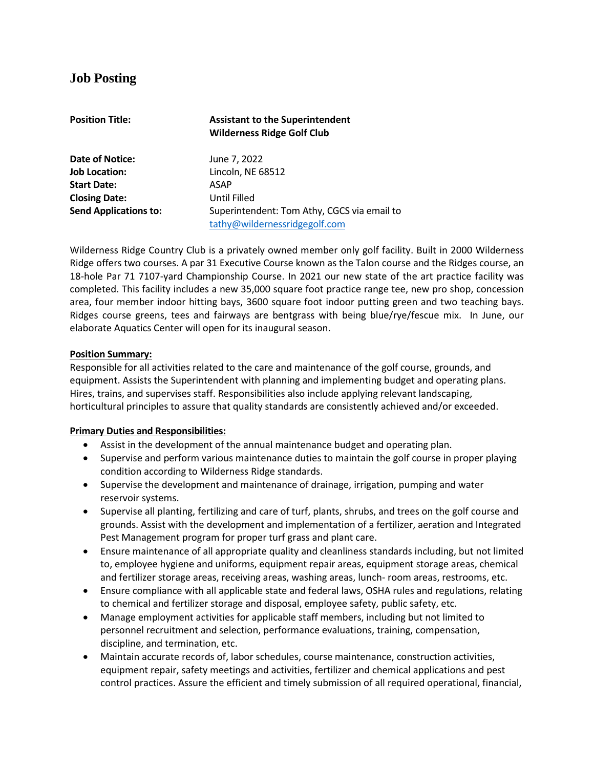# **Job Posting**

| <b>Position Title:</b>       | <b>Assistant to the Superintendent</b><br><b>Wilderness Ridge Golf Club</b> |
|------------------------------|-----------------------------------------------------------------------------|
| Date of Notice:              | June 7, 2022                                                                |
| <b>Job Location:</b>         | Lincoln, NE 68512                                                           |
| <b>Start Date:</b>           | ASAP                                                                        |
| <b>Closing Date:</b>         | <b>Until Filled</b>                                                         |
| <b>Send Applications to:</b> | Superintendent: Tom Athy, CGCS via email to                                 |
|                              | tathy@wildernessridgegolf.com                                               |

Wilderness Ridge Country Club is a privately owned member only golf facility. Built in 2000 Wilderness Ridge offers two courses. A par 31 Executive Course known as the Talon course and the Ridges course, an 18-hole Par 71 7107-yard Championship Course. In 2021 our new state of the art practice facility was completed. This facility includes a new 35,000 square foot practice range tee, new pro shop, concession area, four member indoor hitting bays, 3600 square foot indoor putting green and two teaching bays. Ridges course greens, tees and fairways are bentgrass with being blue/rye/fescue mix. In June, our elaborate Aquatics Center will open for its inaugural season.

## **Position Summary:**

Responsible for all activities related to the care and maintenance of the golf course, grounds, and equipment. Assists the Superintendent with planning and implementing budget and operating plans. Hires, trains, and supervises staff. Responsibilities also include applying relevant landscaping, horticultural principles to assure that quality standards are consistently achieved and/or exceeded.

### **Primary Duties and Responsibilities:**

- Assist in the development of the annual maintenance budget and operating plan.
- Supervise and perform various maintenance duties to maintain the golf course in proper playing condition according to Wilderness Ridge standards.
- Supervise the development and maintenance of drainage, irrigation, pumping and water reservoir systems.
- Supervise all planting, fertilizing and care of turf, plants, shrubs, and trees on the golf course and grounds. Assist with the development and implementation of a fertilizer, aeration and Integrated Pest Management program for proper turf grass and plant care.
- Ensure maintenance of all appropriate quality and cleanliness standards including, but not limited to, employee hygiene and uniforms, equipment repair areas, equipment storage areas, chemical and fertilizer storage areas, receiving areas, washing areas, lunch- room areas, restrooms, etc.
- Ensure compliance with all applicable state and federal laws, OSHA rules and regulations, relating to chemical and fertilizer storage and disposal, employee safety, public safety, etc.
- Manage employment activities for applicable staff members, including but not limited to personnel recruitment and selection, performance evaluations, training, compensation, discipline, and termination, etc.
- Maintain accurate records of, labor schedules, course maintenance, construction activities, equipment repair, safety meetings and activities, fertilizer and chemical applications and pest control practices. Assure the efficient and timely submission of all required operational, financial,